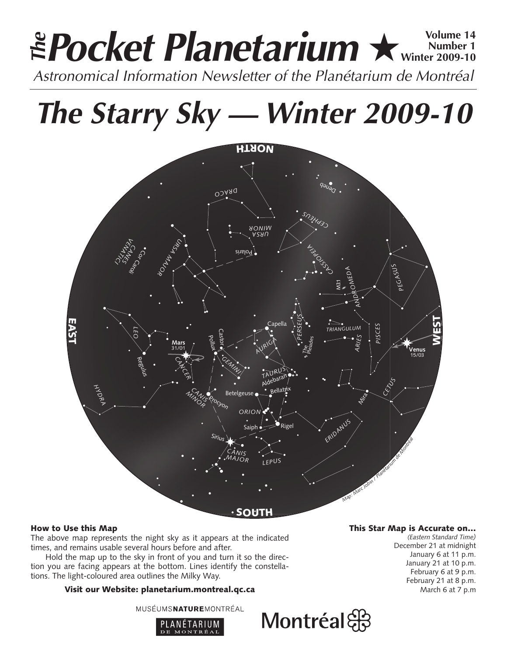# **Pocket Planetarium ★ Winter 2009-10 Number 1 Winter 2009-10 EPocket Planetarium**  $\star$  Number 14<br>Astronomical Information Newsletter of the Planétarium de Montréal

**The Starry Sky — Winter 2009-10**



# How to Use this Map

The above map represents the night sky as it appears at the indicated times, and remains usable several hours before and after.

Hold the map up to the sky in front of you and turn it so the direction you are facing appears at the bottom. Lines identify the constellations. The light-coloured area outlines the Milky Way.

# Visit our Website: planetarium.montreal.qc.ca

MUSÉUMSNATUREMONTRÉAL



# This Star Map is Accurate on…

*(Eastern Standard Time)* December 21 at midnight January 6 at 11 p.m. January 21 at 10 p.m. February 6 at 9 p.m. February 21 at 8 p.m. March 6 at 7 p.m